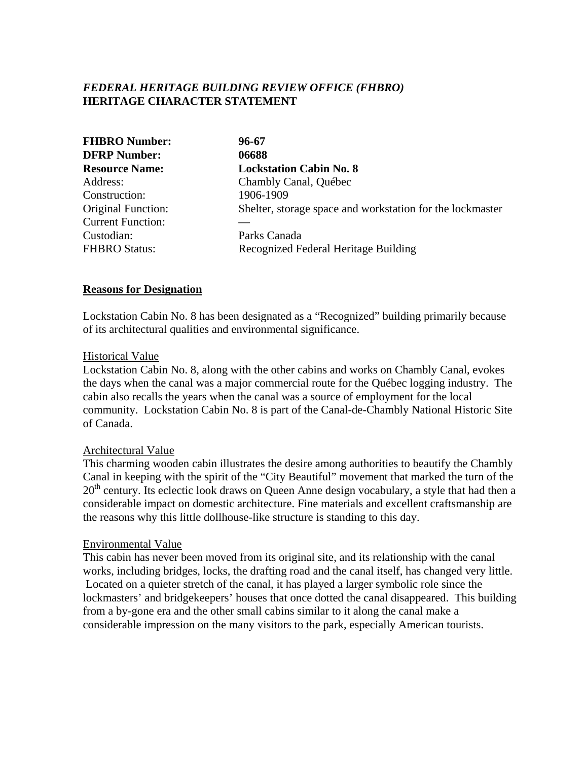# *FEDERAL HERITAGE BUILDING REVIEW OFFICE (FHBRO)* **HERITAGE CHARACTER STATEMENT**

| <b>FHBRO Number:</b><br><b>DFRP Number:</b><br><b>Resource Name:</b> | 96-67<br>06688<br><b>Lockstation Cabin No. 8</b>          |               |                       |
|----------------------------------------------------------------------|-----------------------------------------------------------|---------------|-----------------------|
|                                                                      |                                                           | Address:      | Chambly Canal, Québec |
|                                                                      |                                                           | Construction: | 1906-1909             |
| Original Function:                                                   | Shelter, storage space and workstation for the lockmaster |               |                       |
| <b>Current Function:</b>                                             |                                                           |               |                       |
| Custodian:                                                           | Parks Canada                                              |               |                       |
| <b>FHBRO Status:</b>                                                 | Recognized Federal Heritage Building                      |               |                       |

#### **Reasons for Designation**

Lockstation Cabin No. 8 has been designated as a "Recognized" building primarily because of its architectural qualities and environmental significance.

#### Historical Value

Lockstation Cabin No. 8, along with the other cabins and works on Chambly Canal, evokes the days when the canal was a major commercial route for the Québec logging industry. The cabin also recalls the years when the canal was a source of employment for the local community. Lockstation Cabin No. 8 is part of the Canal-de-Chambly National Historic Site of Canada.

## Architectural Value

This charming wooden cabin illustrates the desire among authorities to beautify the Chambly Canal in keeping with the spirit of the "City Beautiful" movement that marked the turn of the  $20<sup>th</sup>$  century. Its eclectic look draws on Queen Anne design vocabulary, a style that had then a considerable impact on domestic architecture. Fine materials and excellent craftsmanship are the reasons why this little dollhouse-like structure is standing to this day.

## Environmental Value

This cabin has never been moved from its original site, and its relationship with the canal works, including bridges, locks, the drafting road and the canal itself, has changed very little. Located on a quieter stretch of the canal, it has played a larger symbolic role since the lockmasters' and bridgekeepers' houses that once dotted the canal disappeared. This building from a by-gone era and the other small cabins similar to it along the canal make a considerable impression on the many visitors to the park, especially American tourists.